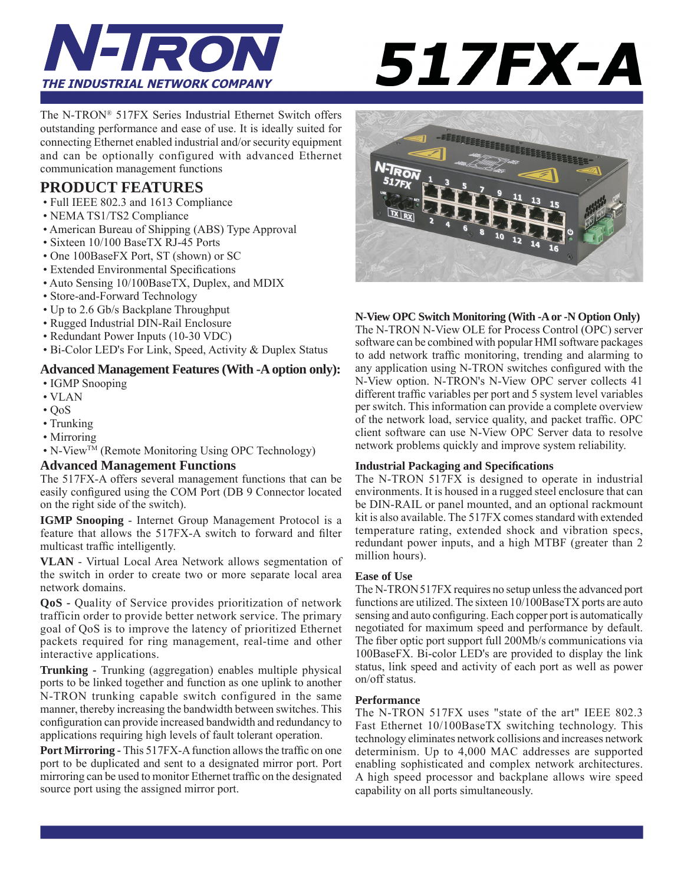

# **517FX-A**

The N-TRON® 517FX Series Industrial Ethernet Switch offers outstanding performance and ease of use. It is ideally suited for connecting Ethernet enabled industrial and/or security equipment and can be optionally configured with advanced Ethernet communication management functions

#### **PRODUCT FEATURES**

- Full IEEE 802.3 and 1613 Compliance
- NEMA TS1/TS2 Compliance
- American Bureau of Shipping (ABS) Type Approval
- Sixteen 10/100 BaseTX RJ-45 Ports
- One 100BaseFX Port, ST (shown) or SC
- Extended Environmental Specifications
- Auto Sensing 10/100BaseTX, Duplex, and MDIX
- Store-and-Forward Technology
- Up to 2.6 Gb/s Backplane Throughput
- Rugged Industrial DIN-Rail Enclosure
- Redundant Power Inputs (10-30 VDC)
- Bi-Color LED's For Link, Speed, Activity & Duplex Status

#### **Advanced Management Features (With -A option only):**

- IGMP Snooping
- VLAN
- $\cdot$  OoS
- Trunking
- Mirroring
- N-View<sup>TM</sup> (Remote Monitoring Using OPC Technology)

#### **Advanced Management Functions**

The 517FX-A offers several management functions that can be easily configured using the COM Port (DB 9 Connector located on the right side of the switch).

**IGMP Snooping** - Internet Group Management Protocol is a feature that allows the 517FX-A switch to forward and filter multicast traffic intelligently.

**VLAN** - Virtual Local Area Network allows segmentation of the switch in order to create two or more separate local area network domains.

**QoS -** Quality of Service provides prioritization of network trafficin order to provide better network service. The primary goal of QoS is to improve the latency of prioritized Ethernet packets required for ring management, real-time and other interactive applications.

**Trunking -** Trunking (aggregation) enables multiple physical ports to be linked together and function as one uplink to another N-TRON trunking capable switch configured in the same manner, thereby increasing the bandwidth between switches. This configuration can provide increased bandwidth and redundancy to applications requiring high levels of fault tolerant operation.

Port Mirroring - This 517FX-A function allows the traffic on one port to be duplicated and sent to a designated mirror port. Port mirroring can be used to monitor Ethernet traffic on the designated source port using the assigned mirror port.



#### **N-View OPC Switch Monitoring (With -A or -N Option Only)**

The N-TRON N-View OLE for Process Control (OPC) server software can be combined with popular HMI software packages to add network traffic monitoring, trending and alarming to any application using N-TRON switches configured with the N-View option. N-TRON's N-View OPC server collects 41 different traffic variables per port and 5 system level variables per switch. This information can provide a complete overview of the network load, service quality, and packet traffic. OPC client software can use N-View OPC Server data to resolve network problems quickly and improve system reliability.

#### **Industrial Packaging and Specifi cations**

The N-TRON 517FX is designed to operate in industrial environments. It is housed in a rugged steel enclosure that can be DIN-RAIL or panel mounted, and an optional rackmount kit is also available. The 517FX comes standard with extended temperature rating, extended shock and vibration specs, redundant power inputs, and a high MTBF (greater than 2 million hours).

#### **Ease of Use**

The N-TRON 517FX requires no setup unless the advanced port functions are utilized. The sixteen 10/100BaseTX ports are auto sensing and auto configuring. Each copper port is automatically negotiated for maximum speed and performance by default. The fiber optic port support full 200Mb/s communications via 100BaseFX. Bi-color LED's are provided to display the link status, link speed and activity of each port as well as power on/off status.

#### **Performance**

The N-TRON 517FX uses "state of the art" IEEE 802.3 Fast Ethernet 10/100BaseTX switching technology. This technology eliminates network collisions and increases network determinism. Up to 4,000 MAC addresses are supported enabling sophisticated and complex network architectures. A high speed processor and backplane allows wire speed capability on all ports simultaneously.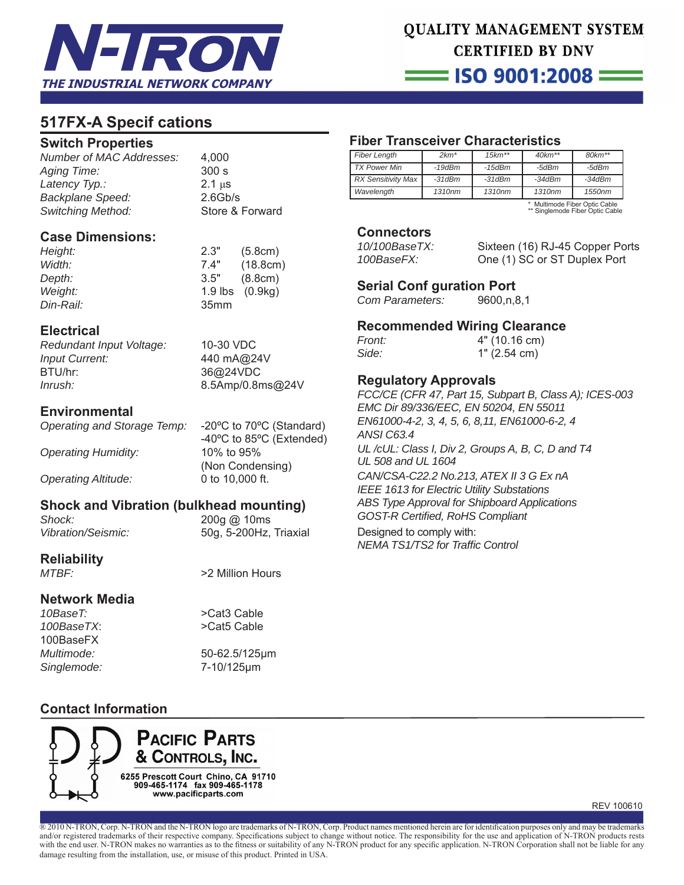

# **QUALITY MANAGEMENT SYSTEM CERTIFIED BY DNV**

= ISO 9001:2008 =

## **517FX-A Specif cations**

#### **Switch Properties**

*Number of MAC Addresses:* 4,000 *Aging Time:* 300 s *Latency Typ.:* 2.1 μs *Backplane Speed:* 2.6Gb/s **Store & Forward** 

#### **Case Dimensions:**

| Height:       | 2.3"             | (5.8cm)                                 |
|---------------|------------------|-----------------------------------------|
| Width:        | 7.4"             | (18.8cm)                                |
| <i>Depth:</i> | 3.5"             | (8.8cm)                                 |
| Weight:       |                  | 1.9 $\mathsf{lbs}$ (0.9 $\mathsf{kq}$ ) |
| Din-Rail:     | 35 <sub>mm</sub> |                                         |

#### **Electrical**

*Redundant Input Voltage:* 10-30 VDC *Input Current:* 440 mA@24V BTU/hr: 36@24VDC *Inrush:* 8.5Amp/0.8ms@24V

#### **Environmental**

*Operating and Storage Temp:* -20ºC to 70ºC (Standard)

*Operating Humidity:* 10% to 95%

 -40ºC to 85ºC (Extended) (Non Condensing)

#### *Operating Altitude:* 0 to 10,000 ft.

#### **Shock and Vibration (bulkhead mounting)**

*Shock:* 200g @ 10ms

*Vibration/Seismic:* 50g, 5-200Hz, Triaxial

# **Reliability**

>2 Million Hours

#### **Network Media**

*10BaseT:* >Cat3 Cable 100BaseFX *Multimode:* 50-62.5/125μm *Singlemode:* 7-10/125μm

100BaseTX: >Cat5 Cable

#### **Contact Information**



### **Fiber Transceiver Characteristics**

| <b>Fiber Length</b>       | $2km*$             | $15 km^{**}$       | $40km**$           | $80 km**$ |
|---------------------------|--------------------|--------------------|--------------------|-----------|
| <b>TX Power Min</b>       | $-19$ d $Bm$       | -15dBm             | -5dBm              | -5dBm     |
| <b>RX Sensitivity Max</b> | $-31dBm$           | $-31dBm$           | $-34dBm$           | $-34dBm$  |
| Wavelength                | 1310 <sub>nm</sub> | 1310 <sub>nm</sub> | 1310 <sub>nm</sub> | 1550nm    |

\* Multimode Fiber Optic Cable \*\* Singlemode Fiber Optic Cable

#### **Connectors**

| 10/100BaseTX: | Sixteen (16) RJ-45 Copper Ports |
|---------------|---------------------------------|
| 100BaseFX:    | One (1) SC or ST Duplex Port    |

# **Serial Conf guration Port**<br>Com Parameters: 9600,n,8,1

*Com Parameters:* 

#### **Recommended Wiring Clearance**

| Front: | 4" (10.16 cm) |
|--------|---------------|
| Side:  | 1" (2.54 cm)  |

#### **Regulatory Approvals**

*FCC/CE (CFR 47, Part 15, Subpart B, Class A); ICES-003 EMC Dir 89/336/EEC, EN 50204, EN 55011 EN61000-4-2, 3, 4, 5, 6, 8,11, EN61000-6-2, 4 ANSI C63.4 UL /cUL: Class I, Div 2, Groups A, B, C, D and T4 UL 508 and UL 1604 CAN/CSA-C22.2 No.213, ATEX II 3 G Ex nA IEEE 1613 for Electric Utility Substations ABS Type Approval for Shipboard Applications GOST-R Certifi ed, RoHS Compliant* Designed to comply with: *NEMA TS1/TS2 for Traffi c Control*

REV 100610

® 2010 N-TRON, Corp. N-TRON and the N-TRON logo are trademarks of N-TRON, Corp. Product names mentioned herein are for identification purposes only and may be trademarks and/or registered trademarks of their respective company. Specifications subject to change without notice. The responsibility for the use and application of N-TRON products rests with the end user. N-TRON makes no warranties as to the fitness or suitability of any N-TRON product for any specific application. N-TRON Corporation shall not be liable for any damage resulting from the installation, use, or misuse of this product. Printed in USA.